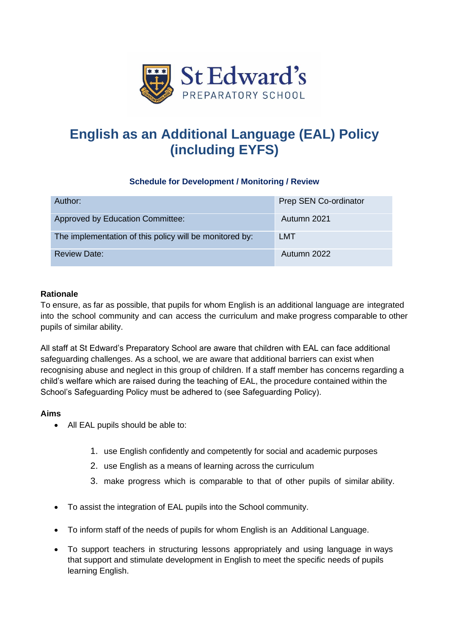

# **English as an Additional Language (EAL) Policy (including EYFS)**

# **Schedule for Development / Monitoring / Review**

| Author:                                                 | Prep SEN Co-ordinator |
|---------------------------------------------------------|-----------------------|
| <b>Approved by Education Committee:</b>                 | Autumn 2021           |
| The implementation of this policy will be monitored by: | LMT                   |
| <b>Review Date:</b>                                     | Autumn 2022           |

## **Rationale**

To ensure, as far as possible, that pupils for whom English is an additional language are integrated into the school community and can access the curriculum and make progress comparable to other pupils of similar ability.

All staff at St Edward's Preparatory School are aware that children with EAL can face additional safeguarding challenges. As a school, we are aware that additional barriers can exist when recognising abuse and neglect in this group of children. If a staff member has concerns regarding a child's welfare which are raised during the teaching of EAL, the procedure contained within the School's Safeguarding Policy must be adhered to (see Safeguarding Policy).

## **Aims**

- All EAL pupils should be able to:
	- 1. use English confidently and competently for social and academic purposes
	- 2. use English as a means of learning across the curriculum
	- 3. make progress which is comparable to that of other pupils of similar ability.
- To assist the integration of EAL pupils into the School community.
- To inform staff of the needs of pupils for whom English is an Additional Language.
- To support teachers in structuring lessons appropriately and using language in ways that support and stimulate development in English to meet the specific needs of pupils learning English.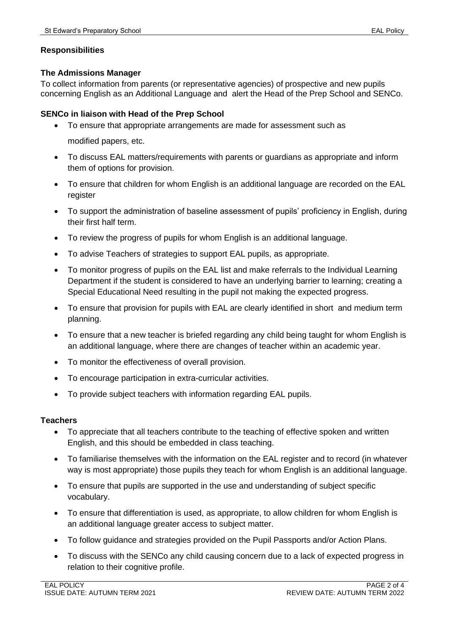## **Responsibilities**

## **The Admissions Manager**

To collect information from parents (or representative agencies) of prospective and new pupils concerning English as an Additional Language and alert the Head of the Prep School and SENCo.

## **SENCo in liaison with Head of the Prep School**

- To ensure that appropriate arrangements are made for assessment such as modified papers, etc.
- To discuss EAL matters/requirements with parents or guardians as appropriate and inform them of options for provision.
- To ensure that children for whom English is an additional language are recorded on the EAL register
- To support the administration of baseline assessment of pupils' proficiency in English, during their first half term.
- To review the progress of pupils for whom English is an additional language.
- To advise Teachers of strategies to support EAL pupils, as appropriate.
- To monitor progress of pupils on the EAL list and make referrals to the Individual Learning Department if the student is considered to have an underlying barrier to learning; creating a Special Educational Need resulting in the pupil not making the expected progress.
- To ensure that provision for pupils with EAL are clearly identified in short and medium term planning.
- To ensure that a new teacher is briefed regarding any child being taught for whom English is an additional language, where there are changes of teacher within an academic year.
- To monitor the effectiveness of overall provision.
- To encourage participation in extra-curricular activities.
- To provide subject teachers with information regarding EAL pupils.

#### **Teachers**

- To appreciate that all teachers contribute to the teaching of effective spoken and written English, and this should be embedded in class teaching.
- To familiarise themselves with the information on the EAL register and to record (in whatever way is most appropriate) those pupils they teach for whom English is an additional language.
- To ensure that pupils are supported in the use and understanding of subject specific vocabulary.
- To ensure that differentiation is used, as appropriate, to allow children for whom English is an additional language greater access to subject matter.
- To follow guidance and strategies provided on the Pupil Passports and/or Action Plans.
- To discuss with the SENCo any child causing concern due to a lack of expected progress in relation to their cognitive profile.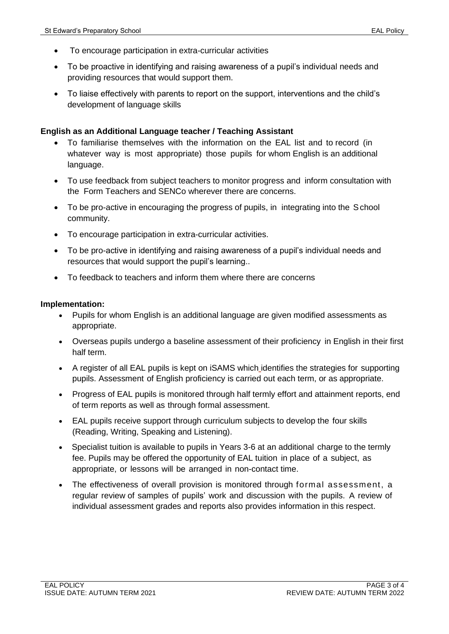- To encourage participation in extra-curricular activities
- To be proactive in identifying and raising awareness of a pupil's individual needs and providing resources that would support them.
- To liaise effectively with parents to report on the support, interventions and the child's development of language skills

#### **English as an Additional Language teacher / Teaching Assistant**

- To familiarise themselves with the information on the EAL list and to record (in whatever way is most appropriate) those pupils for whom English is an additional language.
- To use feedback from subject teachers to monitor progress and inform consultation with the Form Teachers and SENCo wherever there are concerns.
- To be pro-active in encouraging the progress of pupils, in integrating into the School community.
- To encourage participation in extra-curricular activities.
- To be pro-active in identifying and raising awareness of a pupil's individual needs and resources that would support the pupil's learning..
- To feedback to teachers and inform them where there are concerns

#### **Implementation:**

- Pupils for whom English is an additional language are given modified assessments as appropriate.
- Overseas pupils undergo a baseline assessment of their proficiency in English in their first half term.
- A register of all EAL pupils is kept on iSAMS which identifies the strategies for supporting pupils. Assessment of English proficiency is carried out each term, or as appropriate.
- Progress of EAL pupils is monitored through half termly effort and attainment reports, end of term reports as well as through formal assessment.
- EAL pupils receive support through curriculum subjects to develop the four skills (Reading, Writing, Speaking and Listening).
- Specialist tuition is available to pupils in Years 3-6 at an additional charge to the termly fee. Pupils may be offered the opportunity of EAL tuition in place of a subject, as appropriate, or lessons will be arranged in non-contact time.
- The effectiveness of overall provision is monitored through formal assessment, a regular review of samples of pupils' work and discussion with the pupils. A review of individual assessment grades and reports also provides information in this respect.